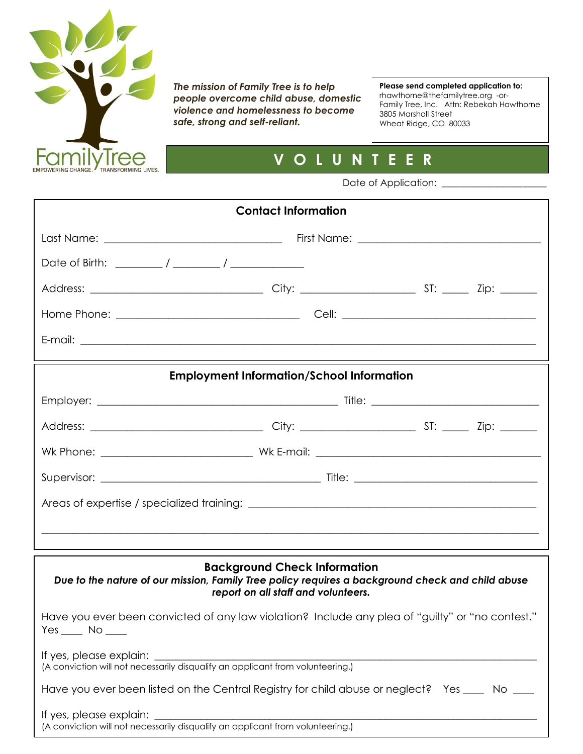

*The mission of Family Tree is to help people overcome child abuse, domestic violence and homelessness to become safe, strong and self-reliant.*

**Please send completed application to:** rhawthorne@thefamilytree.org -or-Family Tree, Inc. Attn: Rebekah Hawthorne 3805 Marshall Street Wheat Ridge, CO 80033

## **V O L U N T E E R**

Date of Application: \_\_\_\_\_\_\_\_\_\_\_\_\_\_\_\_\_\_\_\_\_\_ **A P P L I C A T I O N**

| <b>Contact Information</b>                                                                                                                                                     |  |                                                  |  |  |  |  |  |
|--------------------------------------------------------------------------------------------------------------------------------------------------------------------------------|--|--------------------------------------------------|--|--|--|--|--|
|                                                                                                                                                                                |  |                                                  |  |  |  |  |  |
|                                                                                                                                                                                |  |                                                  |  |  |  |  |  |
|                                                                                                                                                                                |  |                                                  |  |  |  |  |  |
|                                                                                                                                                                                |  |                                                  |  |  |  |  |  |
|                                                                                                                                                                                |  |                                                  |  |  |  |  |  |
|                                                                                                                                                                                |  | <b>Employment Information/School Information</b> |  |  |  |  |  |
|                                                                                                                                                                                |  |                                                  |  |  |  |  |  |
|                                                                                                                                                                                |  |                                                  |  |  |  |  |  |
|                                                                                                                                                                                |  |                                                  |  |  |  |  |  |
|                                                                                                                                                                                |  |                                                  |  |  |  |  |  |
|                                                                                                                                                                                |  |                                                  |  |  |  |  |  |
|                                                                                                                                                                                |  |                                                  |  |  |  |  |  |
|                                                                                                                                                                                |  |                                                  |  |  |  |  |  |
|                                                                                                                                                                                |  |                                                  |  |  |  |  |  |
| <b>Background Check Information</b><br>Due to the nature of our mission, Family Tree policy requires a background check and child abuse<br>report on all staff and volunteers. |  |                                                  |  |  |  |  |  |
| Have you ever been convicted of any law violation? Include any plea of "guilty" or "no contest."<br>$Yes$ No ____                                                              |  |                                                  |  |  |  |  |  |
| If yes, please explain:<br>(A conviction will not necessarily disqualify an applicant from volunteering.)                                                                      |  |                                                  |  |  |  |  |  |
|                                                                                                                                                                                |  |                                                  |  |  |  |  |  |
| Have you ever been listed on the Central Registry for child abuse or neglect? Yes ____ No ___                                                                                  |  |                                                  |  |  |  |  |  |
| If yes, please explain:<br>(A conviction will not necessarily disqualify an applicant from volunteering.)                                                                      |  |                                                  |  |  |  |  |  |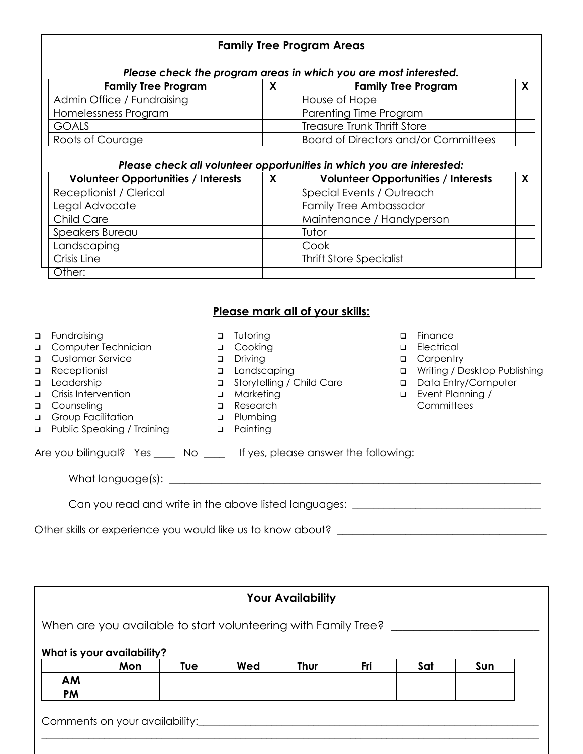| Please check the program areas in which you are most interested.                                                                                                                                                          |                                                                                                                                         |              |                                                                                                                        |  |                                                                                    |              |
|---------------------------------------------------------------------------------------------------------------------------------------------------------------------------------------------------------------------------|-----------------------------------------------------------------------------------------------------------------------------------------|--------------|------------------------------------------------------------------------------------------------------------------------|--|------------------------------------------------------------------------------------|--------------|
| <b>Family Tree Program</b>                                                                                                                                                                                                |                                                                                                                                         | $\mathsf{X}$ | <b>Family Tree Program</b>                                                                                             |  |                                                                                    | $\mathsf{X}$ |
| Admin Office / Fundraising                                                                                                                                                                                                |                                                                                                                                         |              | House of Hope                                                                                                          |  |                                                                                    |              |
| Homelessness Program                                                                                                                                                                                                      |                                                                                                                                         |              | Parenting Time Program                                                                                                 |  |                                                                                    |              |
| <b>GOALS</b>                                                                                                                                                                                                              |                                                                                                                                         |              | <b>Treasure Trunk Thrift Store</b>                                                                                     |  |                                                                                    |              |
| Roots of Courage                                                                                                                                                                                                          |                                                                                                                                         |              | <b>Board of Directors and/or Committees</b>                                                                            |  |                                                                                    |              |
| Please check all volunteer opportunities in which you are interested:                                                                                                                                                     |                                                                                                                                         |              |                                                                                                                        |  |                                                                                    |              |
| <b>Volunteer Opportunities / Interests</b>                                                                                                                                                                                | $\mathsf{X}$                                                                                                                            |              |                                                                                                                        |  | <b>Volunteer Opportunities / Interests</b>                                         | X            |
| Receptionist / Clerical                                                                                                                                                                                                   |                                                                                                                                         |              | Special Events / Outreach                                                                                              |  |                                                                                    |              |
| Legal Advocate                                                                                                                                                                                                            |                                                                                                                                         |              | Family Tree Ambassador                                                                                                 |  |                                                                                    |              |
| Child Care                                                                                                                                                                                                                |                                                                                                                                         |              | Maintenance / Handyperson                                                                                              |  |                                                                                    |              |
| Speakers Bureau                                                                                                                                                                                                           |                                                                                                                                         |              | Tutor                                                                                                                  |  |                                                                                    |              |
| Landscaping                                                                                                                                                                                                               |                                                                                                                                         |              | Cook                                                                                                                   |  |                                                                                    |              |
| Crisis Line                                                                                                                                                                                                               |                                                                                                                                         |              | <b>Thrift Store Specialist</b>                                                                                         |  |                                                                                    |              |
| Other:                                                                                                                                                                                                                    |                                                                                                                                         |              |                                                                                                                        |  |                                                                                    |              |
| Fundraising<br>$\Box$<br>Computer Technician<br><b>Customer Service</b><br>Receptionist<br>$\Box$<br>Leadership<br>$\Box$<br>Crisis Intervention<br>Counseling<br>Group Facilitation<br><b>Public Speaking / Training</b> | Tutoring<br>□ Cooking<br>$\Box$ Driving<br>Landscaping<br>$\Box$ Marketing<br><b>Q</b> Research<br><b>Q</b> Plumbing<br>$\Box$ Painting |              | $\Box$<br>Electrical<br>$\Box$<br>□ Carpentry<br>$\Box$<br>Storytelling / Child Care<br>$\Box$<br>$\Box$<br>Committees |  | Finance<br>Writing / Desktop Publishing<br>Data Entry/Computer<br>Event Planning / |              |
| Are you bilingual? Yes ____ No ____ If yes, please answer the following:                                                                                                                                                  |                                                                                                                                         |              |                                                                                                                        |  |                                                                                    |              |
| Can you read and write in the above listed languages: __________________________                                                                                                                                          |                                                                                                                                         |              |                                                                                                                        |  |                                                                                    |              |
| Other skills or experience you would like us to know about? ____________________                                                                                                                                          |                                                                                                                                         |              |                                                                                                                        |  |                                                                                    |              |

**Family Tree Program Areas**

| <b>Your Availability</b>                                       |     |     |     |             |     |     |     |  |
|----------------------------------------------------------------|-----|-----|-----|-------------|-----|-----|-----|--|
| When are you available to start volunteering with Family Tree? |     |     |     |             |     |     |     |  |
| What is your availability?                                     |     |     |     |             |     |     |     |  |
|                                                                | Mon | Tue | Wed | <b>Thur</b> | Fri | Sat | Sun |  |
| AM                                                             |     |     |     |             |     |     |     |  |
| <b>PM</b>                                                      |     |     |     |             |     |     |     |  |